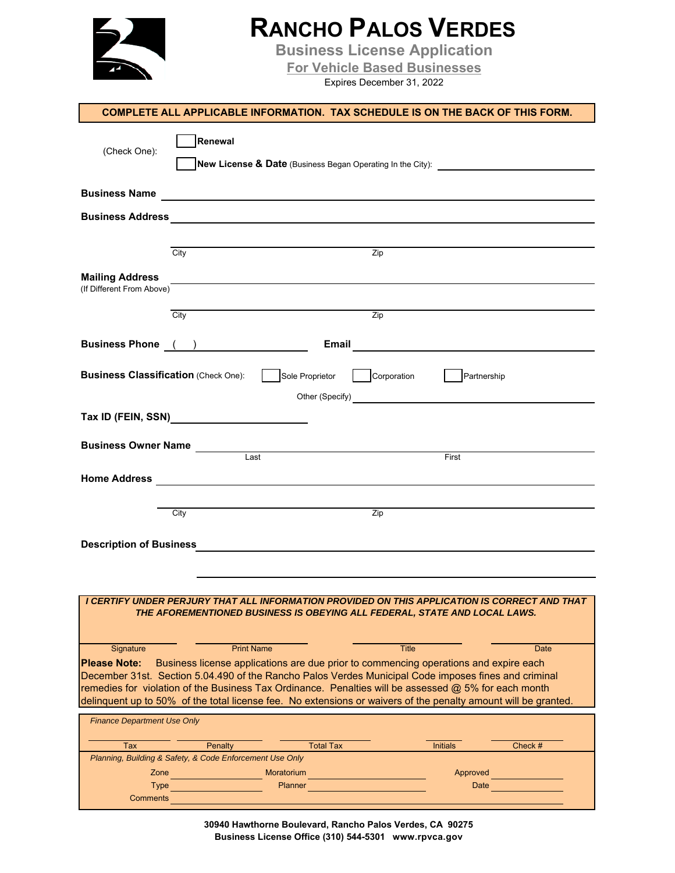## **RANCHO PALOS VERDES**

**Business License Application**

**For Vehicle Based Businesses**

Expires December 31, 2022

|                                                     | <b>COMPLETE ALL APPLICABLE INFORMATION. TAX SCHEDULE IS ON THE BACK OF THIS FORM.</b>                                                                                                        |                                                                               |             |
|-----------------------------------------------------|----------------------------------------------------------------------------------------------------------------------------------------------------------------------------------------------|-------------------------------------------------------------------------------|-------------|
| (Check One):                                        | Renewal                                                                                                                                                                                      |                                                                               |             |
| <b>Business Name</b>                                | <u> 1989 - Johann Barbara, martin amerikan basal dan berasal dan berasal dalam basal dalam basal dalam basal dala</u>                                                                        |                                                                               |             |
|                                                     |                                                                                                                                                                                              |                                                                               |             |
|                                                     |                                                                                                                                                                                              |                                                                               |             |
|                                                     | $\overline{City}$                                                                                                                                                                            | $\overline{Zip}$                                                              |             |
| <b>Mailing Address</b><br>(If Different From Above) |                                                                                                                                                                                              |                                                                               |             |
|                                                     | City                                                                                                                                                                                         | Zip                                                                           |             |
|                                                     |                                                                                                                                                                                              |                                                                               |             |
|                                                     | Business Phone ( )                                                                                                                                                                           |                                                                               |             |
| <b>Business Classification (Check One):</b>         | Sole Proprietor                                                                                                                                                                              | Partnership<br>Corporation<br>Other (Specify)<br><u>Charles Communication</u> |             |
|                                                     |                                                                                                                                                                                              |                                                                               |             |
|                                                     |                                                                                                                                                                                              |                                                                               |             |
|                                                     | Business Owner Name<br>Last                                                                                                                                                                  | First                                                                         |             |
|                                                     |                                                                                                                                                                                              |                                                                               |             |
|                                                     |                                                                                                                                                                                              |                                                                               |             |
|                                                     | City                                                                                                                                                                                         | Zip                                                                           |             |
|                                                     |                                                                                                                                                                                              |                                                                               |             |
|                                                     |                                                                                                                                                                                              |                                                                               |             |
|                                                     |                                                                                                                                                                                              |                                                                               |             |
|                                                     | I CERTIFY UNDER PERJURY THAT ALL INFORMATION PROVIDED ON THIS APPLICATION IS CORRECT AND THAT                                                                                                |                                                                               |             |
|                                                     | THE AFOREMENTIONED BUSINESS IS OBEYING ALL FEDERAL, STATE AND LOCAL LAWS.                                                                                                                    |                                                                               |             |
| Signature                                           | <b>Print Name</b>                                                                                                                                                                            | <b>Title</b>                                                                  | <b>Date</b> |
| <b>Please Note:</b>                                 | Business license applications are due prior to commencing operations and expire each<br>December 31st. Section 5.04.490 of the Rancho Palos Verdes Municipal Code imposes fines and criminal |                                                                               |             |
|                                                     | remedies for violation of the Business Tax Ordinance. Penalties will be assessed @ 5% for each month                                                                                         |                                                                               |             |
|                                                     | delinquent up to 50% of the total license fee. No extensions or waivers of the penalty amount will be granted.                                                                               |                                                                               |             |
| <b>Finance Department Use Only</b>                  |                                                                                                                                                                                              |                                                                               |             |
| Tax                                                 | <b>Total Tax</b><br>Penalty                                                                                                                                                                  | <b>Initials</b>                                                               | Check #     |
| Zone                                                | Planning, Building & Safety, & Code Enforcement Use Only<br>Moratorium                                                                                                                       | Approved                                                                      |             |
| <b>Type</b>                                         | Planner                                                                                                                                                                                      | Date                                                                          |             |
| <b>Comments</b>                                     |                                                                                                                                                                                              |                                                                               |             |